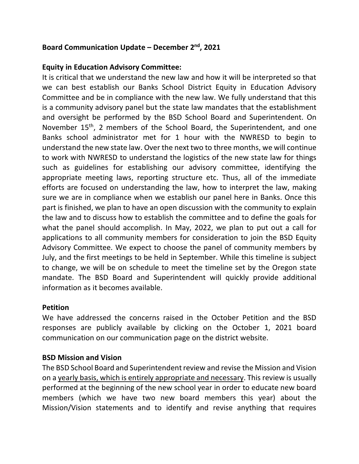# **Board Communication Update – December 2nd, 2021**

# **Equity in Education Advisory Committee:**

It is critical that we understand the new law and how it will be interpreted so that we can best establish our Banks School District Equity in Education Advisory Committee and be in compliance with the new law. We fully understand that this is a community advisory panel but the state law mandates that the establishment and oversight be performed by the BSD School Board and Superintendent. On November 15<sup>th</sup>, 2 members of the School Board, the Superintendent, and one Banks school administrator met for 1 hour with the NWRESD to begin to understand the new state law. Over the next two to three months, we will continue to work with NWRESD to understand the logistics of the new state law for things such as guidelines for establishing our advisory committee, identifying the appropriate meeting laws, reporting structure etc. Thus, all of the immediate efforts are focused on understanding the law, how to interpret the law, making sure we are in compliance when we establish our panel here in Banks. Once this part is finished, we plan to have an open discussion with the community to explain the law and to discuss how to establish the committee and to define the goals for what the panel should accomplish. In May, 2022, we plan to put out a call for applications to all community members for consideration to join the BSD Equity Advisory Committee. We expect to choose the panel of community members by July, and the first meetings to be held in September. While this timeline is subject to change, we will be on schedule to meet the timeline set by the Oregon state mandate. The BSD Board and Superintendent will quickly provide additional information as it becomes available.

### **Petition**

We have addressed the concerns raised in the October Petition and the BSD responses are publicly available by clicking on the October 1, 2021 board communication on our communication page on the district website.

### **BSD Mission and Vision**

The BSD School Board and Superintendent review and revise the Mission and Vision on a yearly basis, which is entirely appropriate and necessary. This review is usually performed at the beginning of the new school year in order to educate new board members (which we have two new board members this year) about the Mission/Vision statements and to identify and revise anything that requires